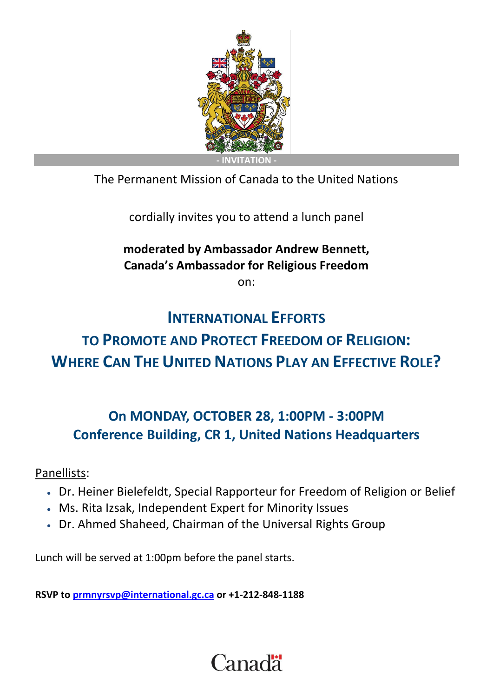

The Permanent Mission of Canada to the United Nations

cordially invites you to attend a lunch panel

### **moderated by Ambassador Andrew Bennett, Canada's Ambassador for Religious Freedom**

on:

## **INTERNATIONAL EFFORTS**

# **TO PROMOTE AND PROTECT FREEDOM OF RELIGION: WHERE CAN THE UNITED NATIONS PLAY AN EFFECTIVE ROLE?**

## **On MONDAY, OCTOBER 28, 1:00PM - 3:00PM Conference Building, CR 1, United Nations Headquarters**

Panellists:

- Dr. Heiner Bielefeldt, Special Rapporteur for Freedom of Religion or Belief
- Ms. Rita Izsak, Independent Expert for Minority Issues
- Dr. Ahmed Shaheed, Chairman of the Universal Rights Group

Lunch will be served at 1:00pm before the panel starts.

**RSVP to [prmnyrsvp@international.gc.ca](mailto:prmnyrsvp@international.gc.ca) or +1-212-848-1188**